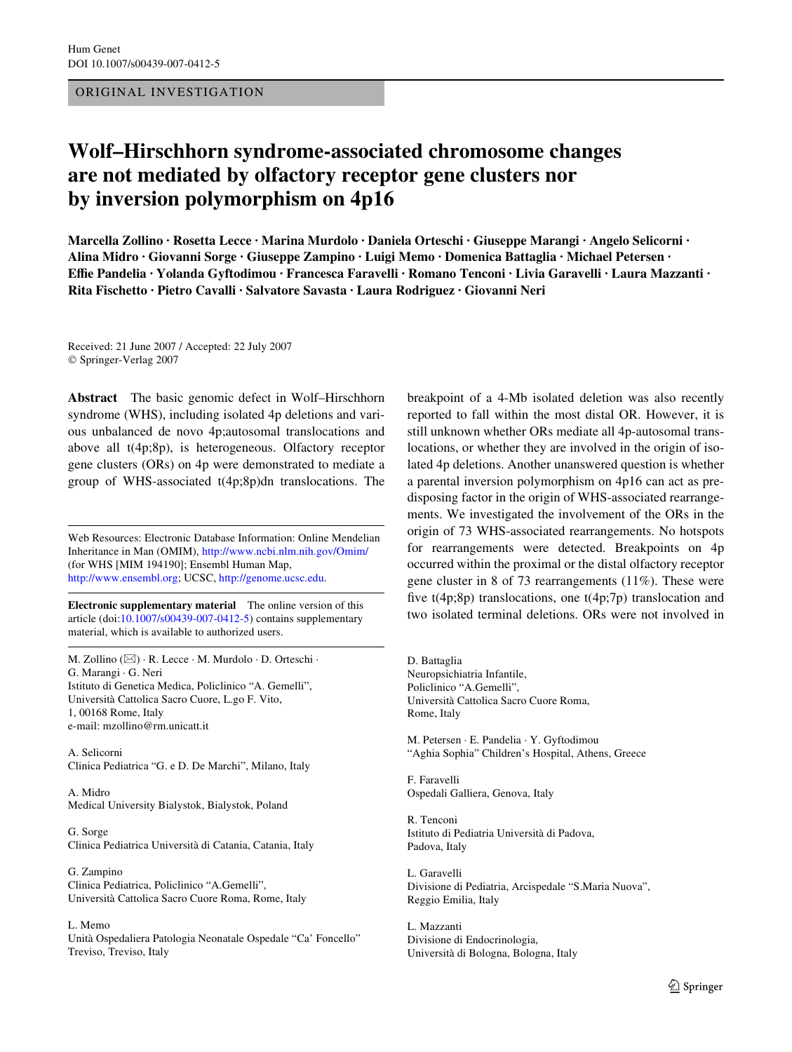# ORIGINAL INVESTIGATION

# **Wolf–Hirschhorn syndrome-associated chromosome changes are not mediated by olfactory receptor gene clusters nor by inversion polymorphism on 4p16**

**Marcella Zollino · Rosetta Lecce · Marina Murdolo · Daniela Orteschi · Giuseppe Marangi · Angelo Selicorni · Alina Midro · Giovanni Sorge · Giuseppe Zampino · Luigi Memo · Domenica Battaglia · Michael Petersen · EYe Pandelia · Yolanda Gyftodimou · Francesca Faravelli · Romano Tenconi · Livia Garavelli · Laura Mazzanti · Rita Fischetto · Pietro Cavalli · Salvatore Savasta · Laura Rodriguez · Giovanni Neri** 

Received: 21 June 2007 / Accepted: 22 July 2007 © Springer-Verlag 2007

**Abstract** The basic genomic defect in Wolf–Hirschhorn syndrome (WHS), including isolated 4p deletions and various unbalanced de novo 4p;autosomal translocations and above all t(4p;8p), is heterogeneous. Olfactory receptor gene clusters (ORs) on 4p were demonstrated to mediate a group of WHS-associated t(4p;8p)dn translocations. The

Web Resources: Electronic Database Information: Online Mendelian Inheritance in Man (OMIM), [http://www.ncbi.nlm.nih.gov/Omim/](http://dx.doi.org/http://www.ncbi.nlm.nih.gov/Omim/) (for WHS [MIM 194190]; Ensembl Human Map, [http://www.ensembl.org;](http://dx.doi.org/http://www.ensembl.org) UCSC, [http://genome.ucsc.edu](http://dx.doi.org/http://genome.ucsc.edu).

**Electronic supplementary material** The online version of this article (doi[:10.1007/s00439-007-0412-5\)](http://dx.doi.org/10.1007/s00439-007-0412-5) contains supplementary material, which is available to authorized users.

M. Zollino (&) · R. Lecce · M. Murdolo · D. Orteschi · G. Marangi · G. Neri Istituto di Genetica Medica, Policlinico "A. Gemelli", Università Cattolica Sacro Cuore, L.go F. Vito, 1, 00168 Rome, Italy e-mail: mzollino@rm.unicatt.it

A. Selicorni Clinica Pediatrica "G. e D. De Marchi", Milano, Italy

A. Midro Medical University Bialystok, Bialystok, Poland

G. Sorge Clinica Pediatrica Università di Catania, Catania, Italy

G. Zampino Clinica Pediatrica, Policlinico "A.Gemelli", Università Cattolica Sacro Cuore Roma, Rome, Italy

L. Memo

Unità Ospedaliera Patologia Neonatale Ospedale "Ca' Foncello" Treviso, Treviso, Italy

breakpoint of a 4-Mb isolated deletion was also recently reported to fall within the most distal OR. However, it is still unknown whether ORs mediate all 4p-autosomal translocations, or whether they are involved in the origin of isolated 4p deletions. Another unanswered question is whether a parental inversion polymorphism on 4p16 can act as predisposing factor in the origin of WHS-associated rearrangements. We investigated the involvement of the ORs in the origin of 73 WHS-associated rearrangements. No hotspots for rearrangements were detected. Breakpoints on 4p occurred within the proximal or the distal olfactory receptor gene cluster in 8 of 73 rearrangements (11%). These were five  $t(4p;8p)$  translocations, one  $t(4p;7p)$  translocation and two isolated terminal deletions. ORs were not involved in

D. Battaglia Neuropsichiatria Infantile, Policlinico "A.Gemelli", Università Cattolica Sacro Cuore Roma, Rome, Italy

M. Petersen · E. Pandelia · Y. Gyftodimou "Aghia Sophia" Children's Hospital, Athens, Greece

F. Faravelli Ospedali Galliera, Genova, Italy

R. Tenconi Istituto di Pediatria Università di Padova, Padova, Italy

L. Garavelli Divisione di Pediatria, Arcispedale "S.Maria Nuova", Reggio Emilia, Italy

L. Mazzanti Divisione di Endocrinologia, Università di Bologna, Bologna, Italy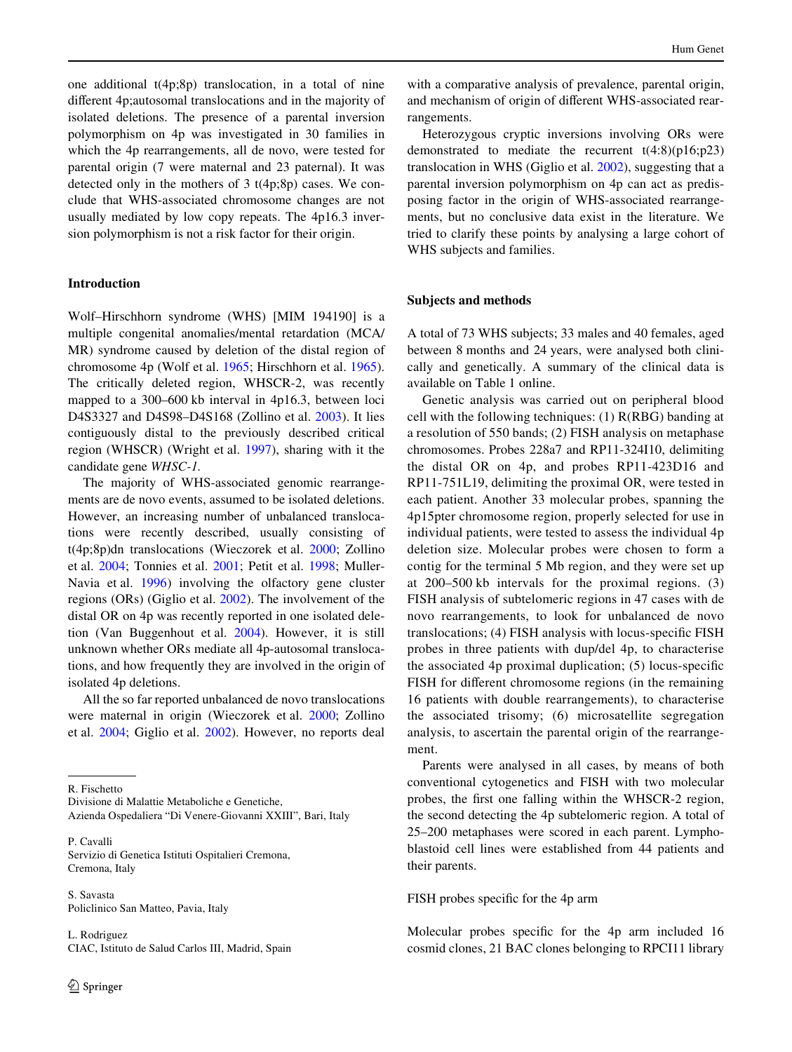one additional t(4p;8p) translocation, in a total of nine different 4p;autosomal translocations and in the majority of isolated deletions. The presence of a parental inversion polymorphism on 4p was investigated in 30 families in which the 4p rearrangements, all de novo, were tested for parental origin (7 were maternal and 23 paternal). It was detected only in the mothers of 3 t(4p;8p) cases. We conclude that WHS-associated chromosome changes are not usually mediated by low copy repeats. The 4p16.3 inversion polymorphism is not a risk factor for their origin.

# **Introduction**

Wolf–Hirschhorn syndrome (WHS) [MIM 194190] is a multiple congenital anomalies/mental retardation (MCA/ MR) syndrome caused by deletion of the distal region of chromosome 4p (Wolf et al. [1965;](#page-6-0) Hirschhorn et al. [1965](#page-6-1)). The critically deleted region, WHSCR-2, was recently mapped to a 300–600 kb interval in 4p16.3, between loci D4S3327 and D4S98–D4S168 (Zollino et al. [2003](#page-7-0)). It lies contiguously distal to the previously described critical region (WHSCR) (Wright et al. [1997](#page-6-2)), sharing with it the candidate gene *WHSC-1.*

The majority of WHS-associated genomic rearrangements are de novo events, assumed to be isolated deletions. However, an increasing number of unbalanced translocations were recently described, usually consisting of t(4p;8p)dn translocations (Wieczorek et al. [2000;](#page-6-3) Zollino et al. [2004](#page-7-1); Tonnies et al. [2001](#page-6-4); Petit et al. [1998](#page-6-5); Muller-Navia et al. [1996\)](#page-6-6) involving the olfactory gene cluster regions (ORs) (Giglio et al. [2002](#page-6-7)). The involvement of the distal OR on 4p was recently reported in one isolated deletion (Van Buggenhout et al. [2004\)](#page-6-8). However, it is still unknown whether ORs mediate all 4p-autosomal translocations, and how frequently they are involved in the origin of isolated 4p deletions.

All the so far reported unbalanced de novo translocations were maternal in origin (Wieczorek et al. [2000](#page-6-3); Zollino et al. [2004](#page-7-1); Giglio et al. [2002\)](#page-6-7). However, no reports deal

R. Fischetto

Divisione di Malattie Metaboliche e Genetiche,

Azienda Ospedaliera "Di Venere-Giovanni XXIII", Bari, Italy

P. Cavalli Servizio di Genetica Istituti Ospitalieri Cremona, Cremona, Italy

S. Savasta Policlinico San Matteo, Pavia, Italy

L. Rodriguez CIAC, Istituto de Salud Carlos III, Madrid, Spain with a comparative analysis of prevalence, parental origin, and mechanism of origin of different WHS-associated rearrangements.

Heterozygous cryptic inversions involving ORs were demonstrated to mediate the recurrent  $t(4:8)(p16;p23)$ translocation in WHS (Giglio et al. [2002\)](#page-6-7), suggesting that a parental inversion polymorphism on 4p can act as predisposing factor in the origin of WHS-associated rearrangements, but no conclusive data exist in the literature. We tried to clarify these points by analysing a large cohort of WHS subjects and families.

#### **Subjects and methods**

A total of 73 WHS subjects; 33 males and 40 females, aged between 8 months and 24 years, were analysed both clinically and genetically. A summary of the clinical data is available on Table 1 online.

Genetic analysis was carried out on peripheral blood cell with the following techniques: (1) R(RBG) banding at a resolution of 550 bands; (2) FISH analysis on metaphase chromosomes. Probes 228a7 and RP11-324I10, delimiting the distal OR on 4p, and probes RP11-423D16 and RP11-751L19, delimiting the proximal OR, were tested in each patient. Another 33 molecular probes, spanning the 4p15pter chromosome region, properly selected for use in individual patients, were tested to assess the individual 4p deletion size. Molecular probes were chosen to form a contig for the terminal 5 Mb region, and they were set up at 200–500 kb intervals for the proximal regions. (3) FISH analysis of subtelomeric regions in 47 cases with de novo rearrangements, to look for unbalanced de novo translocations; (4) FISH analysis with locus-specific FISH probes in three patients with dup/del 4p, to characterise the associated 4p proximal duplication;  $(5)$  locus-specific FISH for different chromosome regions (in the remaining 16 patients with double rearrangements), to characterise the associated trisomy; (6) microsatellite segregation analysis, to ascertain the parental origin of the rearrangement.

Parents were analysed in all cases, by means of both conventional cytogenetics and FISH with two molecular probes, the first one falling within the WHSCR-2 region, the second detecting the 4p subtelomeric region. A total of 25–200 metaphases were scored in each parent. Lymphoblastoid cell lines were established from 44 patients and their parents.

#### FISH probes specific for the 4p arm

Molecular probes specific for the 4p arm included 16 cosmid clones, 21 BAC clones belonging to RPCI11 library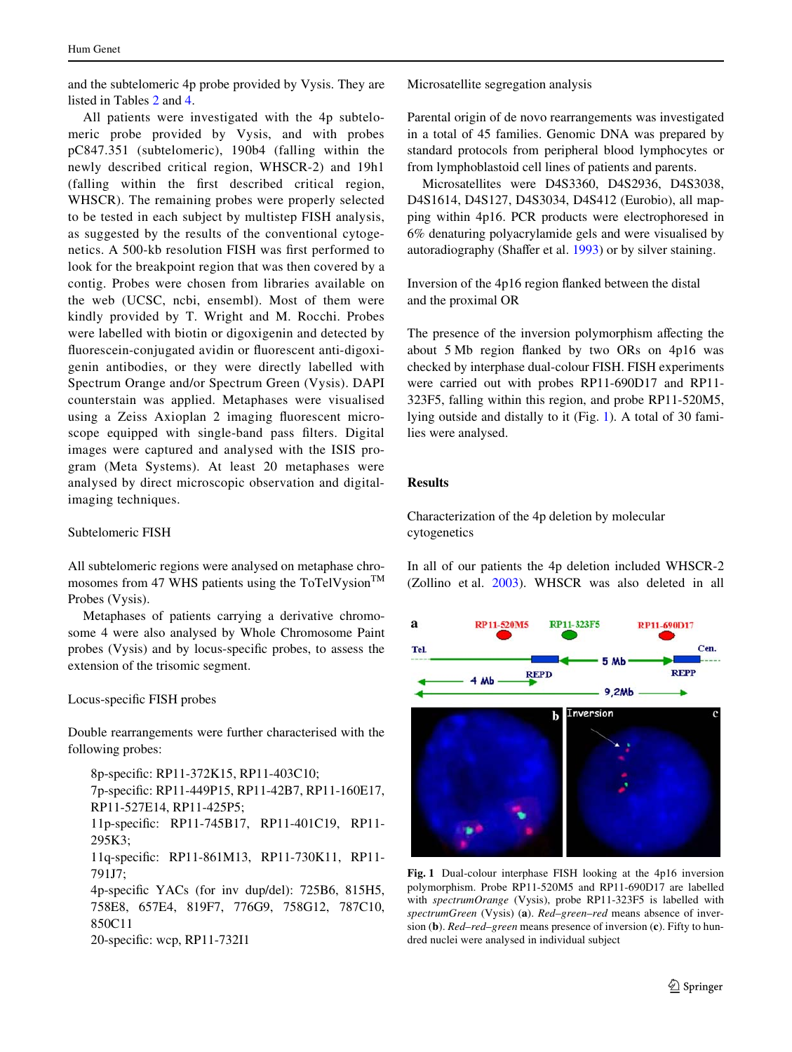and the subtelomeric 4p probe provided by Vysis. They are listed in Tables [2](#page-4-0) and [4](#page-5-0).

All patients were investigated with the 4p subtelomeric probe provided by Vysis, and with probes pC847.351 (subtelomeric), 190b4 (falling within the newly described critical region, WHSCR-2) and 19h1 (falling within the first described critical region, WHSCR). The remaining probes were properly selected to be tested in each subject by multistep FISH analysis, as suggested by the results of the conventional cytogenetics. A 500-kb resolution FISH was first performed to look for the breakpoint region that was then covered by a contig. Probes were chosen from libraries available on the web (UCSC, ncbi, ensembl). Most of them were kindly provided by T. Wright and M. Rocchi. Probes were labelled with biotin or digoxigenin and detected by fluorescein-conjugated avidin or fluorescent anti-digoxigenin antibodies, or they were directly labelled with Spectrum Orange and/or Spectrum Green (Vysis). DAPI counterstain was applied. Metaphases were visualised using a Zeiss Axioplan 2 imaging fluorescent microscope equipped with single-band pass filters. Digital images were captured and analysed with the ISIS program (Meta Systems). At least 20 metaphases were analysed by direct microscopic observation and digitalimaging techniques.

## Subtelomeric FISH

All subtelomeric regions were analysed on metaphase chromosomes from 47 WHS patients using the ToTelVysion<sup>TM</sup> Probes (Vysis).

Metaphases of patients carrying a derivative chromosome 4 were also analysed by Whole Chromosome Paint probes (Vysis) and by locus-specific probes, to assess the extension of the trisomic segment.

## Locus-specific FISH probes

Double rearrangements were further characterised with the following probes:

8p-specific: RP11-372K15, RP11-403C10; 7p-specific: RP11-449P15, RP11-42B7, RP11-160E17, RP11-527E14, RP11-425P5; 11p-specific: RP11-745B17, RP11-401C19, RP11-295K3; 11q-specific: RP11-861M13, RP11-730K11, RP11-791J7; 4p-specific YACs (for inv dup/del): 725B6, 815H5, 758E8, 657E4, 819F7, 776G9, 758G12, 787C10, 850C11 20-specific: wcp, RP11-732I1

Microsatellite segregation analysis

Parental origin of de novo rearrangements was investigated in a total of 45 families. Genomic DNA was prepared by standard protocols from peripheral blood lymphocytes or from lymphoblastoid cell lines of patients and parents.

Microsatellites were D4S3360, D4S2936, D4S3038, D4S1614, D4S127, D4S3034, D4S412 (Eurobio), all mapping within 4p16. PCR products were electrophoresed in 6% denaturing polyacrylamide gels and were visualised by autoradiography (Shaffer et al. [1993](#page-6-9)) or by silver staining.

Inversion of the 4p16 region flanked between the distal and the proximal OR

The presence of the inversion polymorphism affecting the about 5 Mb region flanked by two ORs on 4p16 was checked by interphase dual-colour FISH. FISH experiments were carried out with probes RP11-690D17 and RP11- 323F5, falling within this region, and probe RP11-520M5, lying outside and distally to it (Fig. [1](#page-2-0)). A total of 30 families were analysed.

# **Results**

Characterization of the 4p deletion by molecular cytogenetics

In all of our patients the 4p deletion included WHSCR-2 (Zollino et al. [2003\)](#page-7-0). WHSCR was also deleted in all



<span id="page-2-0"></span>**Fig. 1** Dual-colour interphase FISH looking at the 4p16 inversion polymorphism. Probe RP11-520M5 and RP11-690D17 are labelled with *spectrumOrange* (Vysis), probe RP11-323F5 is labelled with *spectrumGreen* (Vysis) (**a**). *Red*–*green*–*red* means absence of inversion (**b**). *Red*–*red*–*green* means presence of inversion (**c**). Fifty to hundred nuclei were analysed in individual subject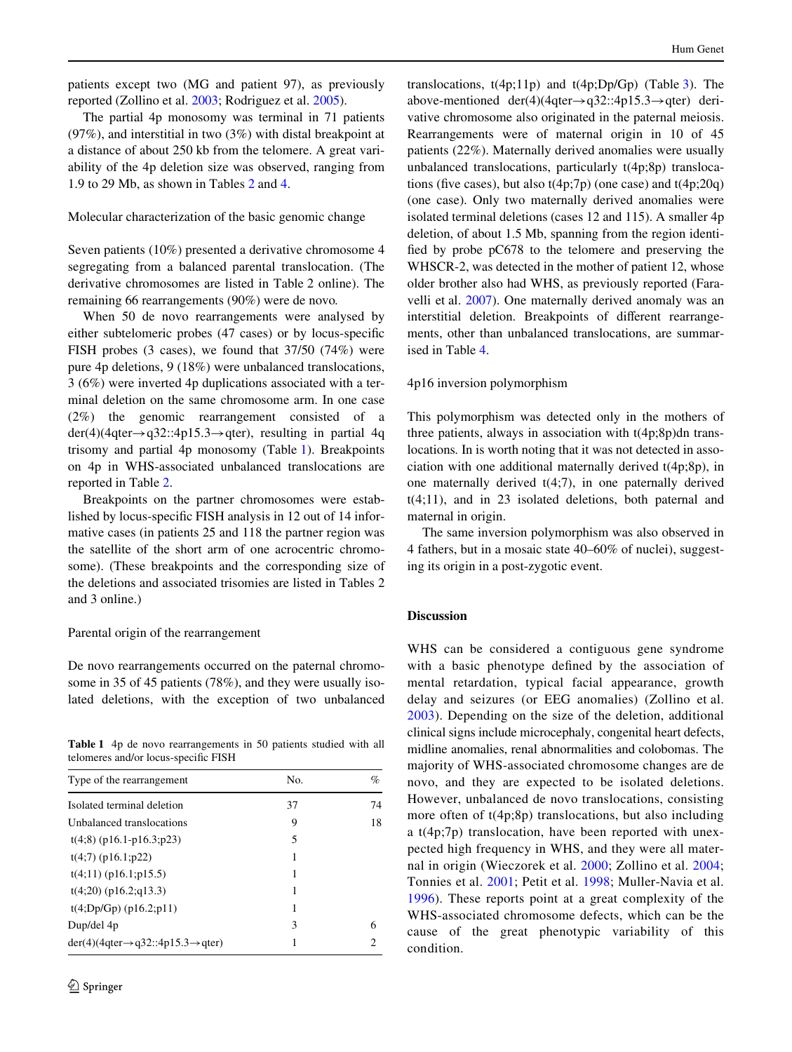patients except two (MG and patient 97), as previously reported (Zollino et al. [2003](#page-7-0); Rodriguez et al. [2005](#page-6-10)).

The partial 4p monosomy was terminal in 71 patients (97%), and interstitial in two (3%) with distal breakpoint at a distance of about 250 kb from the telomere. A great variability of the 4p deletion size was observed, ranging from 1.9 to 29 Mb, as shown in Tables [2](#page-4-0) and [4.](#page-5-0)

# Molecular characterization of the basic genomic change

Seven patients (10%) presented a derivative chromosome 4 segregating from a balanced parental translocation. (The derivative chromosomes are listed in Table 2 online). The remaining 66 rearrangements (90%) were de novo*.*

When 50 de novo rearrangements were analysed by either subtelomeric probes (47 cases) or by locus-specific FISH probes (3 cases), we found that 37/50 (74%) were pure 4p deletions, 9 (18%) were unbalanced translocations, 3 (6%) were inverted 4p duplications associated with a terminal deletion on the same chromosome arm. In one case (2%) the genomic rearrangement consisted of a  $der(4)$ (4qter $\rightarrow$ q32::4p15.3 $\rightarrow$ qter), resulting in partial 4q trisomy and partial 4p monosomy (Table [1\)](#page-3-0). Breakpoints on 4p in WHS-associated unbalanced translocations are reported in Table [2](#page-4-0).

Breakpoints on the partner chromosomes were established by locus-specific FISH analysis in 12 out of 14 informative cases (in patients 25 and 118 the partner region was the satellite of the short arm of one acrocentric chromosome). (These breakpoints and the corresponding size of the deletions and associated trisomies are listed in Tables 2 and 3 online.)

#### Parental origin of the rearrangement

De novo rearrangements occurred on the paternal chromosome in 35 of 45 patients (78%), and they were usually isolated deletions, with the exception of two unbalanced

<span id="page-3-0"></span>**Table 1** 4p de novo rearrangements in 50 patients studied with all telomeres and/or locus-specific FISH

| Type of the rearrangement                                | No. | $\%$ |
|----------------------------------------------------------|-----|------|
| Isolated terminal deletion                               | 37  | 74   |
| Unbalanced translocations                                | 9   | 18   |
| $t(4,8)$ (p16.1-p16.3;p23)                               | 5   |      |
| $t(4;7)$ (p16.1;p22)                                     | 1   |      |
| $t(4;11)$ (p16.1;p15.5)                                  | 1   |      |
| $t(4;20)$ (p16.2;q13.3)                                  | 1   |      |
| $t(4;Dp/Gp)$ (p16.2;p11)                                 | 1   |      |
| Dup/del 4p                                               | 3   | 6    |
| $der(4)(4qter \rightarrow q32::4p15.3 \rightarrow qter)$ |     | 2    |

translocations,  $t(4p;11p)$  and  $t(4p;Dp/Gp)$  (Table [3](#page-5-1)). The above-mentioned der(4)(4qter $\rightarrow$ q32::4p15.3 $\rightarrow$ qter) derivative chromosome also originated in the paternal meiosis. Rearrangements were of maternal origin in 10 of 45 patients (22%). Maternally derived anomalies were usually unbalanced translocations, particularly t(4p;8p) translocations (five cases), but also  $t(4p;7p)$  (one case) and  $t(4p;20q)$ (one case). Only two maternally derived anomalies were isolated terminal deletions (cases 12 and 115). A smaller 4p deletion, of about 1.5 Mb, spanning from the region identified by probe  $pC678$  to the telomere and preserving the WHSCR-2, was detected in the mother of patient 12, whose older brother also had WHS, as previously reported (Faravelli et al. [2007\)](#page-6-11). One maternally derived anomaly was an interstitial deletion. Breakpoints of different rearrangements, other than unbalanced translocations, are summarised in Table [4](#page-5-0).

## 4p16 inversion polymorphism

This polymorphism was detected only in the mothers of three patients, always in association with t(4p;8p)dn translocations*.* In is worth noting that it was not detected in association with one additional maternally derived t(4p;8p), in one maternally derived t(4;7), in one paternally derived t(4;11), and in 23 isolated deletions, both paternal and maternal in origin.

The same inversion polymorphism was also observed in 4 fathers, but in a mosaic state 40–60% of nuclei), suggesting its origin in a post-zygotic event.

## **Discussion**

WHS can be considered a contiguous gene syndrome with a basic phenotype defined by the association of mental retardation, typical facial appearance, growth delay and seizures (or EEG anomalies) (Zollino et al. [2003\)](#page-7-0). Depending on the size of the deletion, additional clinical signs include microcephaly, congenital heart defects, midline anomalies, renal abnormalities and colobomas. The majority of WHS-associated chromosome changes are de novo, and they are expected to be isolated deletions. However, unbalanced de novo translocations, consisting more often of t(4p;8p) translocations, but also including a t(4p;7p) translocation, have been reported with unexpected high frequency in WHS, and they were all maternal in origin (Wieczorek et al. [2000](#page-6-3); Zollino et al. [2004](#page-7-1); Tonnies et al. [2001;](#page-6-4) Petit et al. [1998;](#page-6-5) Muller-Navia et al. [1996\)](#page-6-6). These reports point at a great complexity of the WHS-associated chromosome defects, which can be the cause of the great phenotypic variability of this condition.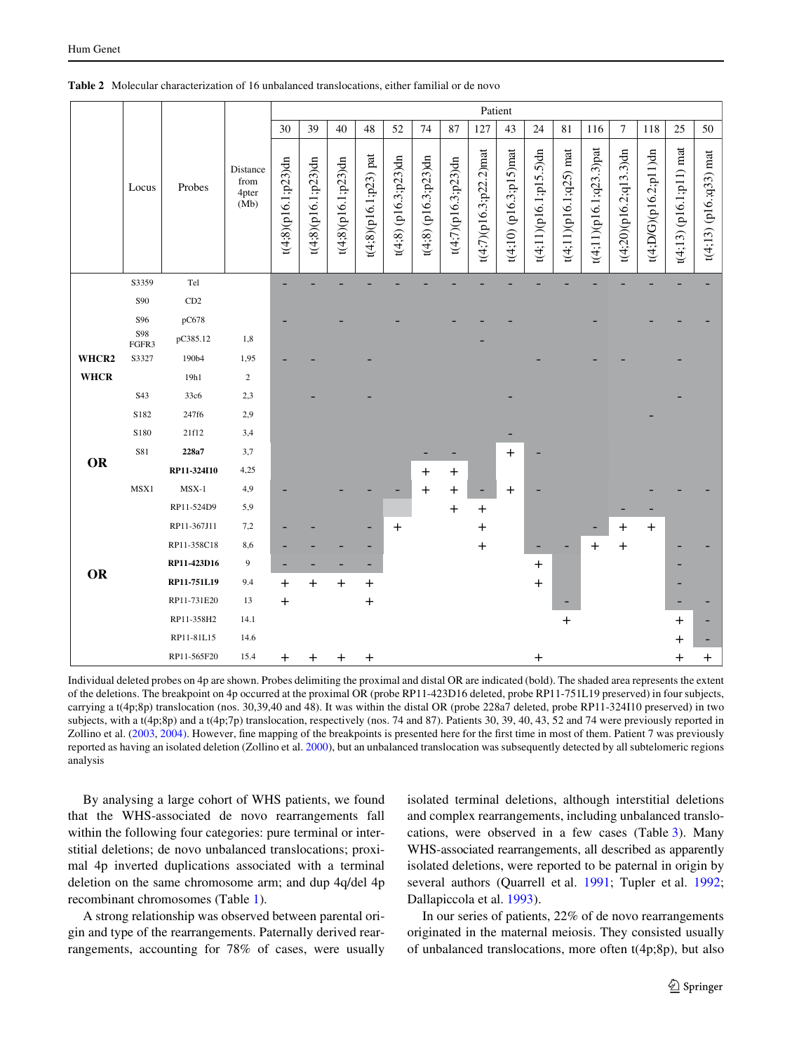|             |              |             | Patient<br>30<br>39<br>40<br>48<br>52<br>74<br>87<br>127<br>43<br>24<br>81<br>7<br>118<br>25<br>116<br>Distance<br>from<br>4pter<br>(Mb) |                        |                        |                        |                       |                        |                        |                        |                           |                        |                        |                          |                         |                           |                       |                           |                          |
|-------------|--------------|-------------|------------------------------------------------------------------------------------------------------------------------------------------|------------------------|------------------------|------------------------|-----------------------|------------------------|------------------------|------------------------|---------------------------|------------------------|------------------------|--------------------------|-------------------------|---------------------------|-----------------------|---------------------------|--------------------------|
|             |              |             |                                                                                                                                          |                        |                        |                        |                       |                        |                        |                        |                           |                        |                        |                          |                         |                           |                       |                           | 50                       |
|             | Locus        | Probes      |                                                                                                                                          | $t(4;8)(p16.1;p23)$ dn | $t(4;8)(p16.1;p23)$ dn | $t(4;8)(p16.1;p23)$ dn | t(4;8)(p16.1;p23) pat | $t(4;8)$ (p16.3;p23)dn | $t(4;8)$ (p16.3;p23)dn | $t(4;7)(p16.3;p23)$ dn | $t(4;7)(p16.3;p22.2)$ mat | t(4;10) (p16.3;p15)mat | t(4;11)(p16.1;p15.5)dn | $t(4;11)(p16.1;q25)$ mat | t(4;11)(p16.1;q23.3)pat | $t(4;20)$ (p16.2;q13.3)dn | t(4;D/G)(p16.2;p11)dn | $t(4;13)$ (p16.1;p11) mat | $t(4;13)$ (p16.;q33) mat |
|             | S3359        | Tel         |                                                                                                                                          |                        |                        |                        |                       |                        |                        |                        |                           |                        |                        |                          |                         |                           |                       |                           |                          |
|             | S90          | CD2         |                                                                                                                                          |                        |                        |                        |                       |                        |                        |                        |                           |                        |                        |                          |                         |                           |                       |                           |                          |
|             | S96          | pC678       |                                                                                                                                          |                        |                        |                        |                       |                        |                        |                        |                           |                        |                        |                          |                         |                           |                       |                           |                          |
|             | S98<br>FGFR3 | pC385.12    | 1,8                                                                                                                                      |                        |                        |                        |                       |                        |                        |                        |                           |                        |                        |                          |                         |                           |                       |                           |                          |
| WHCR2       | S3327        | 190b4       | 1,95                                                                                                                                     |                        |                        |                        |                       |                        |                        |                        |                           |                        |                        |                          |                         |                           |                       |                           |                          |
| <b>WHCR</b> |              | 19h1        | $\overline{c}$                                                                                                                           |                        |                        |                        |                       |                        |                        |                        |                           |                        |                        |                          |                         |                           |                       |                           |                          |
|             | S43          | 33c6        | 2,3                                                                                                                                      |                        |                        |                        |                       |                        |                        |                        |                           |                        |                        |                          |                         |                           |                       |                           |                          |
|             | S182         | 247f6       | 2,9                                                                                                                                      |                        |                        |                        |                       |                        |                        |                        |                           |                        |                        |                          |                         |                           |                       |                           |                          |
|             | S180         | 21f12       | 3,4                                                                                                                                      |                        |                        |                        |                       |                        |                        |                        |                           |                        |                        |                          |                         |                           |                       |                           |                          |
| OR          | S81          | 228a7       | 3,7                                                                                                                                      |                        |                        |                        |                       |                        |                        |                        |                           | $\ddot{}$              |                        |                          |                         |                           |                       |                           |                          |
|             |              | RP11-324I10 | 4,25                                                                                                                                     |                        |                        |                        |                       |                        | $\mathrm{+}$           | $\pmb{+}$              |                           |                        |                        |                          |                         |                           |                       |                           |                          |
|             | MSX1         | $MSX-1$     | 4,9                                                                                                                                      |                        |                        |                        |                       |                        | $\pm$                  | $\,{}^+$               |                           | $\ddot{}$              |                        |                          |                         |                           |                       |                           |                          |
|             |              | RP11-524D9  | 5,9                                                                                                                                      |                        |                        |                        |                       |                        |                        | $\,{}^+$               | $\pmb{+}$                 |                        |                        |                          |                         |                           |                       |                           |                          |
|             |              | RP11-367J11 | 7,2                                                                                                                                      |                        |                        |                        |                       | $\ddot{}$              |                        |                        | $\pm$                     |                        |                        |                          |                         | $\,{}^+$                  | $\ddot{}$             |                           |                          |
|             |              | RP11-358C18 | 8,6                                                                                                                                      |                        |                        |                        |                       |                        |                        |                        | $\mathrm{+}$              |                        |                        |                          | $\pmb{+}$               | $\ddot{}$                 |                       |                           |                          |
| <b>OR</b>   |              | RP11-423D16 | 9                                                                                                                                        |                        |                        |                        |                       |                        |                        |                        |                           |                        | $\ddot{}$              |                          |                         |                           |                       |                           |                          |
|             |              | RP11-751L19 | 9.4                                                                                                                                      | $\ddot{}$              | $\ddot{}$              | $\,{}^+$               | $\,{}^+$              |                        |                        |                        |                           |                        | $\ddot{}$              |                          |                         |                           |                       |                           |                          |
|             |              | RP11-731E20 | 13                                                                                                                                       | $\ddot{}$              |                        |                        | $\pmb{+}$             |                        |                        |                        |                           |                        |                        |                          |                         |                           |                       |                           |                          |
|             |              | RP11-358H2  | 14.1                                                                                                                                     |                        |                        |                        |                       |                        |                        |                        |                           |                        |                        | $\ddot{}$                |                         |                           |                       | $\ddot{}$                 |                          |
|             |              | RP11-81L15  | 14.6                                                                                                                                     |                        |                        |                        |                       |                        |                        |                        |                           |                        |                        |                          |                         |                           |                       | $\pm$                     |                          |
|             |              | RP11-565F20 | 15.4                                                                                                                                     | $\ddot{}$              | $\mathrm{+}$           | $\mathrm{+}$           | $\mathbf +$           |                        |                        |                        |                           |                        | $\mathrm{+}$           |                          |                         |                           |                       | $\,{}^+$                  | $\pm$                    |

<span id="page-4-0"></span>**Table 2** Molecular characterization of 16 unbalanced translocations, either familial or de novo

Individual deleted probes on 4p are shown. Probes delimiting the proximal and distal OR are indicated (bold). The shaded area represents the extent of the deletions. The breakpoint on 4p occurred at the proximal OR (probe RP11-423D16 deleted, probe RP11-751L19 preserved) in four subjects, carrying a t(4p;8p) translocation (nos. 30,39,40 and 48). It was within the distal OR (probe 228a7 deleted, probe RP11-324I10 preserved) in two subjects, with a t(4p;8p) and a t(4p;7p) translocation, respectively (nos. 74 and 87). Patients 30, 39, 40, 43, 52 and 74 were previously reported in Zollino et al. [\(2003](#page-7-0), [2004\)](#page-7-1). However, fine mapping of the breakpoints is presented here for the first time in most of them. Patient 7 was previously reported as having an isolated deletion (Zollino et al. [2000\)](#page-6-12), but an unbalanced translocation was subsequently detected by all subtelomeric regions analysis

By analysing a large cohort of WHS patients, we found that the WHS-associated de novo rearrangements fall within the following four categories: pure terminal or interstitial deletions; de novo unbalanced translocations; proximal 4p inverted duplications associated with a terminal deletion on the same chromosome arm; and dup 4q/del 4p recombinant chromosomes (Table [1](#page-3-0)).

A strong relationship was observed between parental origin and type of the rearrangements. Paternally derived rearrangements, accounting for 78% of cases, were usually isolated terminal deletions, although interstitial deletions and complex rearrangements, including unbalanced translocations, were observed in a few cases (Table [3](#page-5-1)). Many WHS-associated rearrangements, all described as apparently isolated deletions, were reported to be paternal in origin by several authors (Quarrell et al. [1991;](#page-6-13) Tupler et al. [1992;](#page-6-14) Dallapiccola et al. [1993](#page-6-15)).

In our series of patients, 22% of de novo rearrangements originated in the maternal meiosis. They consisted usually of unbalanced translocations, more often t(4p;8p), but also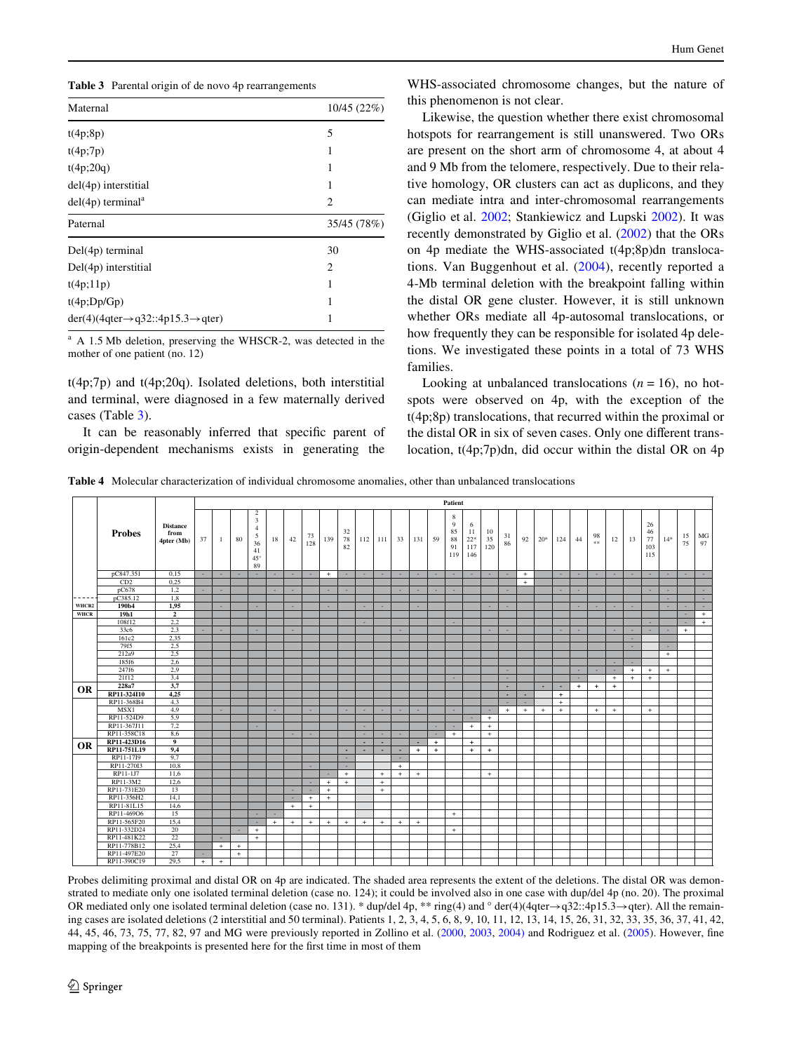<span id="page-5-1"></span>

|  |  |  |  | Table 3 Parental origin of de novo 4p rearrangements |
|--|--|--|--|------------------------------------------------------|
|--|--|--|--|------------------------------------------------------|

| 10/45 (22%)<br>5<br>1<br>1 |
|----------------------------|
|                            |
|                            |
|                            |
|                            |
| 1                          |
| 2                          |
| 35/45 (78%)                |
| 30                         |
| $\overline{c}$             |
| 1                          |
| 1                          |
| 1                          |
|                            |
|                            |

<sup>a</sup> A 1.5 Mb deletion, preserving the WHSCR-2, was detected in the mother of one patient (no. 12)

t(4p;7p) and t(4p;20q). Isolated deletions, both interstitial and terminal, were diagnosed in a few maternally derived cases (Table [3](#page-5-1)).

It can be reasonably inferred that specific parent of origin-dependent mechanisms exists in generating the WHS-associated chromosome changes, but the nature of this phenomenon is not clear.

Likewise, the question whether there exist chromosomal hotspots for rearrangement is still unanswered. Two ORs are present on the short arm of chromosome 4, at about 4 and 9 Mb from the telomere, respectively. Due to their relative homology, OR clusters can act as duplicons, and they can mediate intra and inter-chromosomal rearrangements (Giglio et al. [2002;](#page-6-7) Stankiewicz and Lupski [2002\)](#page-6-16). It was recently demonstrated by Giglio et al. [\(2002](#page-6-7)) that the ORs on 4p mediate the WHS-associated t(4p;8p)dn translocations. Van Buggenhout et al. ([2004](#page-6-8)), recently reported a 4-Mb terminal deletion with the breakpoint falling within the distal OR gene cluster. However, it is still unknown whether ORs mediate all 4p-autosomal translocations, or how frequently they can be responsible for isolated 4p deletions. We investigated these points in a total of 73 WHS families.

Looking at unbalanced translocations  $(n = 16)$ , no hotspots were observed on 4p, with the exception of the t(4p;8p) translocations, that recurred within the proximal or the distal OR in six of seven cases. Only one different translocation, t(4p;7p)dn, did occur within the distal OR on 4p

<span id="page-5-0"></span>**Table 4** Molecular characterization of individual chromosome anomalies, other than unbalanced translocations

|             |                                                          |                                       | Patient |        |      |                                                                            |     |     |           |          |                |                          |        |        |                          |          |                                 |                                |                 |          |           |       |     |     |            |        |        |                              |        |          |          |
|-------------|----------------------------------------------------------|---------------------------------------|---------|--------|------|----------------------------------------------------------------------------|-----|-----|-----------|----------|----------------|--------------------------|--------|--------|--------------------------|----------|---------------------------------|--------------------------------|-----------------|----------|-----------|-------|-----|-----|------------|--------|--------|------------------------------|--------|----------|----------|
|             | <b>Probes</b>                                            | <b>Distance</b><br>from<br>4pter (Mb) | 37      | 1      | 80   | $\overline{c}$<br>3<br>$\overline{4}$<br>5<br>36<br>41<br>$45^\circ$<br>89 | 18  | 42  | 73<br>128 | 139      | 32<br>78<br>82 | 112                      | 111    | 33     | 131                      | 59       | 8<br>9<br>85<br>88<br>91<br>119 | 6<br>11<br>$22*$<br>117<br>146 | 10<br>35<br>120 | 31<br>86 | 92        | $20*$ | 124 | 44  | 98<br>$8*$ | 12     | 13     | 26<br>46<br>77<br>103<br>115 | $14*$  | 15<br>75 | MG<br>97 |
|             | pC847.351                                                | 0.15                                  | $\sim$  | ×.     | ×.   | ٠                                                                          | ×.  | ×.  | ×.        | $+$      | $\sim$         | ×.                       |        |        | ٠.                       | <b>A</b> | ٠.                              | ×.                             | ×.              | ٠        | $+$       |       | ×.  | ٠.  | ×.         | ×.     | ×.     | ٠                            |        | ×.       | ×.       |
|             | CD2                                                      | 0.25                                  |         |        |      |                                                                            |     |     |           |          |                |                          |        |        |                          |          |                                 |                                |                 |          | $\ddot{}$ |       |     |     |            |        |        |                              |        |          |          |
|             | pC678                                                    | 1,2                                   | ٠.      | ×.     |      |                                                                            | ٠   | ٠   |           | ×.       | ×.             |                          |        | ٠      | ٠.                       | ×.       | ٠.                              |                                |                 |          |           |       | ×.  | ٠   |            |        |        | ٠                            | ٠.     |          | ×.       |
| -----       | pC385.12                                                 | 1,8                                   |         |        |      |                                                                            |     |     |           |          |                |                          |        |        |                          |          |                                 |                                |                 |          |           |       |     |     |            |        |        |                              | $\sim$ |          | $\sim$   |
| WHCR2       | 190b4                                                    | 1,95                                  |         | ×      |      |                                                                            |     | ×   |           | н.       |                | ٠                        |        |        | ٠                        |          |                                 |                                | ×               | ٠        |           |       |     | ٠   | ٠          | ٠      | ٠      |                              | ×      | ×        | ×        |
| <b>WHCR</b> | 19h1                                                     | $\mathbf{2}$                          |         |        |      |                                                                            |     |     |           |          |                |                          |        |        |                          |          |                                 |                                |                 |          |           |       |     |     |            |        |        |                              |        | $\sim$   | $+$      |
|             | 108f12                                                   | 2,2                                   |         |        |      |                                                                            |     |     |           |          |                |                          |        |        |                          |          | ٠.                              |                                |                 |          |           |       |     |     |            |        |        | ٠                            |        | $\sim$   | $+$      |
|             | 33c6                                                     | 2,3                                   | $\sim$  | $\sim$ |      | ×.                                                                         |     | ×.  |           |          |                |                          |        | $\sim$ |                          |          |                                 |                                | ×.              |          |           |       | ×.  | ٠.  |            | ×.     |        | ٠                            | ۰.     | $+$      |          |
|             | 161c2                                                    | 2,35                                  |         |        |      |                                                                            |     |     |           |          |                |                          |        |        |                          |          |                                 |                                |                 |          |           |       |     |     |            |        | $\sim$ |                              |        |          |          |
|             | 79f5                                                     | 2.5                                   |         |        |      |                                                                            |     |     |           |          |                |                          |        |        |                          |          |                                 |                                |                 |          |           |       |     |     |            |        | ×.     |                              |        |          |          |
|             | 212a9                                                    | 2,5                                   |         |        |      |                                                                            |     |     |           |          |                |                          |        |        |                          |          |                                 |                                |                 |          |           |       |     |     |            |        |        |                              | $+$    |          |          |
|             | 185f6                                                    | 2,6                                   |         |        |      |                                                                            |     |     |           |          |                |                          |        |        |                          |          |                                 |                                |                 |          |           |       |     |     |            | $\sim$ | ٠.     |                              |        |          |          |
|             | 247f6                                                    | 2,9                                   |         |        |      |                                                                            |     |     |           |          |                |                          |        |        |                          |          |                                 |                                |                 | ٠.       |           |       |     |     |            | $\sim$ | $+$    | $+$                          | $+$    |          |          |
|             | 21f12                                                    | 3,4                                   |         |        |      |                                                                            |     |     |           |          |                |                          |        |        |                          |          | $\sim$                          |                                |                 | ٠        |           |       |     | ٠   |            | $+$    | $+$    | $+$                          |        |          |          |
|             | 228a7                                                    | 3,7                                   |         |        |      |                                                                            |     |     |           |          |                |                          |        |        |                          |          |                                 |                                |                 | ٠        |           | ٠     | ٠   | $+$ | $+$        | $+$    |        |                              |        |          |          |
| <b>OR</b>   | RP11-324I10                                              | 4,25                                  |         |        |      |                                                                            |     |     |           |          |                |                          |        |        |                          |          |                                 |                                |                 | $\sim$   | $\sim$    |       | $+$ |     |            |        |        |                              |        |          |          |
|             | RP11-368B4                                               | 4,3                                   |         |        |      |                                                                            |     |     |           |          |                |                          |        |        |                          |          |                                 |                                |                 |          |           |       | $+$ |     |            |        |        |                              |        |          |          |
|             | MSX1                                                     | 4,9                                   |         | ٠      |      |                                                                            | ٠   |     | ×.        |          | ٠              | ٠                        |        | ٠      | ×.                       |          | $\sim$                          |                                | ٠               | $+$      | $+$       | $+$   | $+$ |     | $+$        | $+$    |        | $+$                          |        |          |          |
|             | RP11-524D9                                               | 5,9                                   |         |        |      |                                                                            |     |     |           |          |                |                          |        |        |                          |          |                                 | $\sim$                         | $+$             |          |           |       |     |     |            |        |        |                              |        |          |          |
|             | RP11-367J11                                              | 7,2                                   |         |        |      |                                                                            |     |     |           |          |                | ٠                        |        |        |                          | $\sim$   | $\sim$                          | $+$                            | $+$             |          |           |       |     |     |            |        |        |                              |        |          |          |
|             | RP11-358C18                                              | 8,6                                   |         |        |      |                                                                            |     | ۰   | ×.        |          |                | $\sim$                   | ×.     | ٠.     |                          | ×.       | $+$                             |                                | $+$             |          |           |       |     |     |            |        |        |                              |        |          |          |
|             | RP11-423D16                                              | 9                                     |         |        |      |                                                                            |     |     |           |          |                | $\overline{\phantom{a}}$ | $\sim$ |        | $\overline{\phantom{a}}$ | $+$      |                                 | $+$                            |                 |          |           |       |     |     |            |        |        |                              |        |          |          |
| <b>OR</b>   | RP11-751L19                                              | 9,4                                   |         |        |      |                                                                            |     |     |           |          | ۰              | $\sim$                   | $\sim$ | $\sim$ | $+$                      | $+$      |                                 | $+$                            | $+$             |          |           |       |     |     |            |        |        |                              |        |          |          |
|             | RP11-17I9                                                | 9,7                                   |         |        |      |                                                                            |     |     |           |          | $\sim$         |                          |        | $\sim$ |                          |          |                                 |                                |                 |          |           |       |     |     |            |        |        |                              |        |          |          |
|             | RP11-270I3                                               | 10,8                                  |         |        |      |                                                                            |     |     | ×.        |          | ×.             |                          |        | $+$    |                          |          |                                 |                                |                 |          |           |       |     |     |            |        |        |                              |        |          |          |
|             | RP11-1J7                                                 | 11.6                                  |         |        |      |                                                                            |     |     |           | <b>.</b> | $+$            |                          | $+$    | $+$    | $+$                      |          |                                 |                                | $+$             |          |           |       |     |     |            |        |        |                              |        |          |          |
|             | RP11-3M2                                                 | 12,6                                  |         |        |      |                                                                            |     |     | ٠.        | $+$      | $+$            |                          | $+$    |        |                          |          |                                 |                                |                 |          |           |       |     |     |            |        |        |                              |        |          |          |
|             | RP11-731E20                                              | 13                                    |         |        |      |                                                                            |     | ٠   | $\sim$    | $+$      |                |                          | $+$    |        |                          |          |                                 |                                |                 |          |           |       |     |     |            |        |        |                              |        |          |          |
|             | RP11-356H2                                               | 14,1                                  |         |        |      |                                                                            |     | ٠   | $+$       | $+$      |                |                          |        |        |                          |          |                                 |                                |                 |          |           |       |     |     |            |        |        |                              |        |          |          |
|             | RP11-81L15                                               | 14,6                                  |         |        |      |                                                                            |     | $+$ | $+$       |          |                |                          |        |        |                          |          |                                 |                                |                 |          |           |       |     |     |            |        |        |                              |        |          |          |
|             | RP11-469O6                                               | 15                                    |         |        |      |                                                                            | ٠   |     |           |          |                |                          |        |        |                          |          | $+$                             |                                |                 |          |           |       |     |     |            |        |        |                              |        |          |          |
|             | RP11-565F20                                              | 15,4                                  |         |        |      | ×.                                                                         | $+$ | $+$ | $+$       | $+$      | $+$            | $+$                      | $+$    | $+$    | $+$                      |          |                                 |                                |                 |          |           |       |     |     |            |        |        |                              |        |          |          |
|             |                                                          |                                       |         |        | ٠    | $+$                                                                        |     |     |           |          |                |                          |        |        |                          |          | $+$                             |                                |                 |          |           |       |     |     |            |        |        |                              |        |          |          |
|             |                                                          |                                       |         | ×.     |      | $+$                                                                        |     |     |           |          |                |                          |        |        |                          |          |                                 |                                |                 |          |           |       |     |     |            |        |        |                              |        |          |          |
|             |                                                          |                                       |         |        |      |                                                                            |     |     |           |          |                |                          |        |        |                          |          |                                 |                                |                 |          |           |       |     |     |            |        |        |                              |        |          |          |
|             |                                                          |                                       | ٠       |        | $+$  |                                                                            |     |     |           |          |                |                          |        |        |                          |          |                                 |                                |                 |          |           |       |     |     |            |        |        |                              |        |          |          |
|             | RP11-390C19                                              | 29,5                                  | $+$     | $+$    |      |                                                                            |     |     |           |          |                |                          |        |        |                          |          |                                 |                                |                 |          |           |       |     |     |            |        |        |                              |        |          |          |
|             | RP11-332D24<br>RP11-481K22<br>RP11-778B12<br>RP11-497E20 | 20<br>22<br>25,4<br>27                |         | $+$    | $^+$ |                                                                            |     |     |           |          |                |                          |        |        |                          |          |                                 |                                |                 |          |           |       |     |     |            |        |        |                              |        |          |          |

Probes delimiting proximal and distal OR on 4p are indicated. The shaded area represents the extent of the deletions. The distal OR was demonstrated to mediate only one isolated terminal deletion (case no. 124); it could be involved also in one case with dup/del 4p (no. 20). The proximal OR mediated only one isolated terminal deletion (case no. 131). \* dup/del 4p, \*\* ring(4) and ° der(4)(4qter $\rightarrow$ q32::4p15.3 $\rightarrow$ qter). All the remaining cases are isolated deletions (2 interstitial and 50 terminal). Patients 1, 2, 3, 4, 5, 6, 8, 9, 10, 11, 12, 13, 14, 15, 26, 31, 32, 33, 35, 36, 37, 41, 42, 44, 45, 46, 73, 75, 77, 82, 97 and MG were previously reported in Zollino et al. [\(2000](#page-6-12), [2003,](#page-7-0) [2004\)](#page-7-1) and Rodriguez et al. [\(2005](#page-6-10)). However, fine mapping of the breakpoints is presented here for the first time in most of them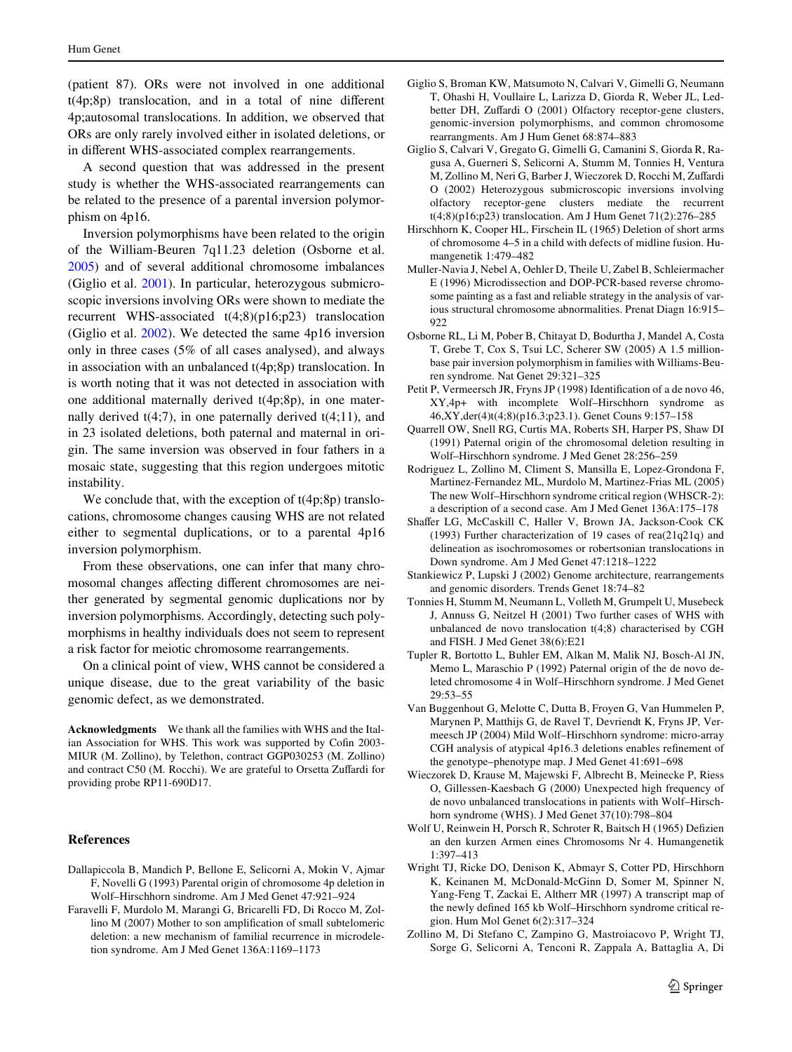(patient 87). ORs were not involved in one additional  $t(4p;8p)$  translocation, and in a total of nine different 4p;autosomal translocations. In addition, we observed that ORs are only rarely involved either in isolated deletions, or in different WHS-associated complex rearrangements.

A second question that was addressed in the present study is whether the WHS-associated rearrangements can be related to the presence of a parental inversion polymorphism on 4p16.

Inversion polymorphisms have been related to the origin of the William-Beuren 7q11.23 deletion (Osborne et al. [2005](#page-6-17)) and of several additional chromosome imbalances (Giglio et al. [2001](#page-6-18)). In particular, heterozygous submicroscopic inversions involving ORs were shown to mediate the recurrent WHS-associated t(4;8)(p16;p23) translocation (Giglio et al. [2002](#page-6-7)). We detected the same 4p16 inversion only in three cases (5% of all cases analysed), and always in association with an unbalanced t(4p;8p) translocation. In is worth noting that it was not detected in association with one additional maternally derived t(4p;8p), in one maternally derived  $t(4;7)$ , in one paternally derived  $t(4;11)$ , and in 23 isolated deletions, both paternal and maternal in origin. The same inversion was observed in four fathers in a mosaic state, suggesting that this region undergoes mitotic instability.

We conclude that, with the exception of  $t(4p;8p)$  translocations, chromosome changes causing WHS are not related either to segmental duplications, or to a parental 4p16 inversion polymorphism.

From these observations, one can infer that many chromosomal changes affecting different chromosomes are neither generated by segmental genomic duplications nor by inversion polymorphisms. Accordingly, detecting such polymorphisms in healthy individuals does not seem to represent a risk factor for meiotic chromosome rearrangements.

On a clinical point of view, WHS cannot be considered a unique disease, due to the great variability of the basic genomic defect, as we demonstrated.

**Acknowledgments** We thank all the families with WHS and the Italian Association for WHS. This work was supported by Cofin 2003-MIUR (M. Zollino), by Telethon, contract GGP030253 (M. Zollino) and contract C50 (M. Rocchi). We are grateful to Orsetta Zuffardi for providing probe RP11-690D17.

## **References**

- <span id="page-6-15"></span>Dallapiccola B, Mandich P, Bellone E, Selicorni A, Mokin V, Ajmar F, Novelli G (1993) Parental origin of chromosome 4p deletion in Wolf–Hirschhorn sindrome. Am J Med Genet 47:921–924
- <span id="page-6-11"></span>Faravelli F, Murdolo M, Marangi G, Bricarelli FD, Di Rocco M, Zollino  $M$  (2007) Mother to son amplification of small subtelomeric deletion: a new mechanism of familial recurrence in microdeletion syndrome. Am J Med Genet 136A:1169–1173
- <span id="page-6-18"></span>Giglio S, Broman KW, Matsumoto N, Calvari V, Gimelli G, Neumann T, Ohashi H, Voullaire L, Larizza D, Giorda R, Weber JL, Ledbetter DH, Zuffardi O (2001) Olfactory receptor-gene clusters, genomic-inversion polymorphisms, and common chromosome rearrangments. Am J Hum Genet 68:874–883
- <span id="page-6-7"></span>Giglio S, Calvari V, Gregato G, Gimelli G, Camanini S, Giorda R, Ragusa A, Guerneri S, Selicorni A, Stumm M, Tonnies H, Ventura M, Zollino M, Neri G, Barber J, Wieczorek D, Rocchi M, Zuffardi O (2002) Heterozygous submicroscopic inversions involving olfactory receptor-gene clusters mediate the recurrent t(4;8)(p16;p23) translocation. Am J Hum Genet 71(2):276–285
- <span id="page-6-1"></span>Hirschhorn K, Cooper HL, Firschein IL (1965) Deletion of short arms of chromosome 4–5 in a child with defects of midline fusion. Humangenetik 1:479–482
- <span id="page-6-6"></span>Muller-Navia J, Nebel A, Oehler D, Theile U, Zabel B, Schleiermacher E (1996) Microdissection and DOP-PCR-based reverse chromosome painting as a fast and reliable strategy in the analysis of various structural chromosome abnormalities. Prenat Diagn 16:915– 922
- <span id="page-6-17"></span>Osborne RL, Li M, Pober B, Chitayat D, Bodurtha J, Mandel A, Costa T, Grebe T, Cox S, Tsui LC, Scherer SW (2005) A 1.5 millionbase pair inversion polymorphism in families with Williams-Beuren syndrome. Nat Genet 29:321–325
- <span id="page-6-5"></span>Petit P, Vermeersch JR, Fryns JP (1998) Identification of a de novo 46, XY,4p+ with incomplete Wolf–Hirschhorn syndrome as 46,XY,der(4)t(4;8)(p16.3;p23.1). Genet Couns 9:157–158
- <span id="page-6-13"></span>Quarrell OW, Snell RG, Curtis MA, Roberts SH, Harper PS, Shaw DI (1991) Paternal origin of the chromosomal deletion resulting in Wolf–Hirschhorn syndrome. J Med Genet 28:256–259
- <span id="page-6-10"></span>Rodriguez L, Zollino M, Climent S, Mansilla E, Lopez-Grondona F, Martinez-Fernandez ML, Murdolo M, Martinez-Frias ML (2005) The new Wolf–Hirschhorn syndrome critical region (WHSCR-2): a description of a second case. Am J Med Genet 136A:175–178
- <span id="page-6-9"></span>Shaffer LG, McCaskill C, Haller V, Brown JA, Jackson-Cook CK (1993) Further characterization of 19 cases of rea(21q21q) and delineation as isochromosomes or robertsonian translocations in Down syndrome. Am J Med Genet 47:1218–1222
- <span id="page-6-16"></span>Stankiewicz P, Lupski J (2002) Genome architecture, rearrangements and genomic disorders. Trends Genet 18:74–82
- <span id="page-6-4"></span>Tonnies H, Stumm M, Neumann L, Volleth M, Grumpelt U, Musebeck J, Annuss G, Neitzel H (2001) Two further cases of WHS with unbalanced de novo translocation t(4;8) characterised by CGH and FISH. J Med Genet 38(6):E21
- <span id="page-6-14"></span>Tupler R, Bortotto L, Buhler EM, Alkan M, Malik NJ, Bosch-Al JN, Memo L, Maraschio P (1992) Paternal origin of the de novo deleted chromosome 4 in Wolf–Hirschhorn syndrome. J Med Genet 29:53–55
- <span id="page-6-8"></span>Van Buggenhout G, Melotte C, Dutta B, Froyen G, Van Hummelen P, Marynen P, Matthijs G, de Ravel T, Devriendt K, Fryns JP, Vermeesch JP (2004) Mild Wolf–Hirschhorn syndrome: micro-array CGH analysis of atypical 4p16.3 deletions enables refinement of the genotype–phenotype map. J Med Genet 41:691–698
- <span id="page-6-3"></span>Wieczorek D, Krause M, Majewski F, Albrecht B, Meinecke P, Riess O, Gillessen-Kaesbach G (2000) Unexpected high frequency of de novo unbalanced translocations in patients with Wolf–Hirschhorn syndrome (WHS). J Med Genet 37(10):798–804
- <span id="page-6-0"></span>Wolf U, Reinwein H, Porsch R, Schroter R, Baitsch H (1965) Defizien an den kurzen Armen eines Chromosoms Nr 4. Humangenetik 1:397–413
- <span id="page-6-2"></span>Wright TJ, Ricke DO, Denison K, Abmayr S, Cotter PD, Hirschhorn K, Keinanen M, McDonald-McGinn D, Somer M, Spinner N, Yang-Feng T, Zackai E, Altherr MR (1997) A transcript map of the newly defined 165 kb Wolf–Hirschhorn syndrome critical region. Hum Mol Genet 6(2):317–324
- <span id="page-6-12"></span>Zollino M, Di Stefano C, Zampino G, Mastroiacovo P, Wright TJ, Sorge G, Selicorni A, Tenconi R, Zappala A, Battaglia A, Di